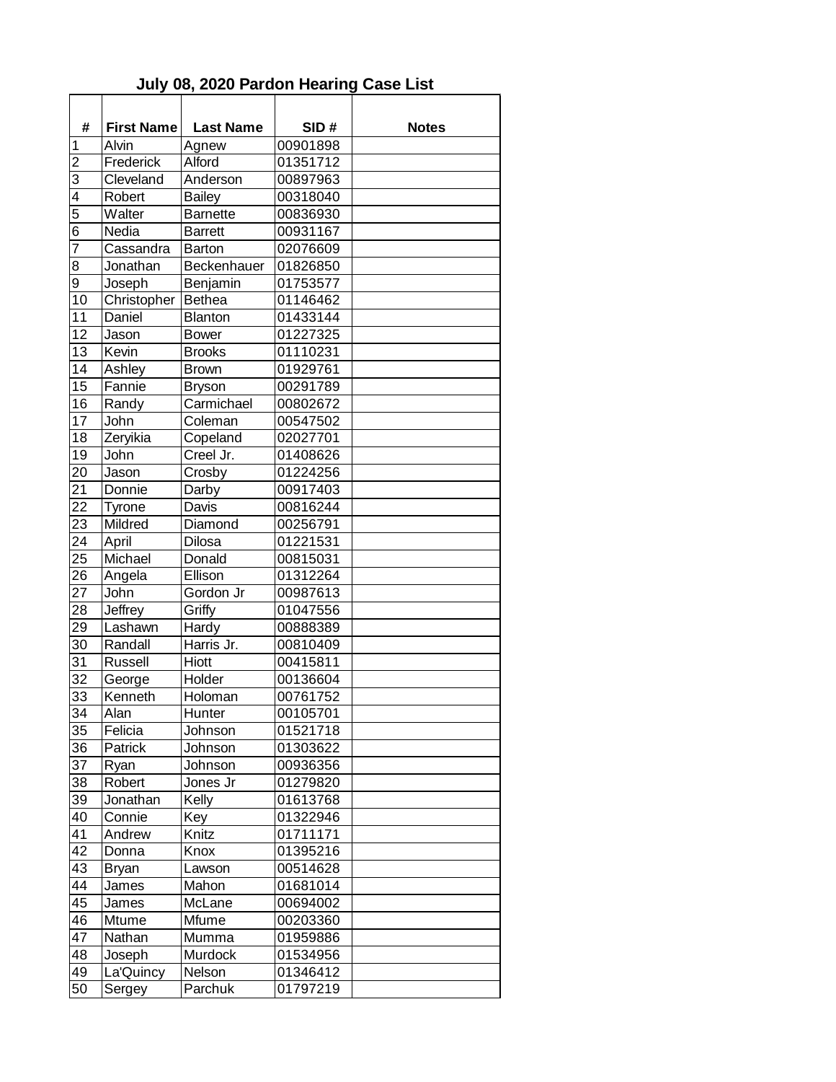## **July 08, 2020 Pardon Hearing Case List**

| #               | <b>First Name</b> | <b>Last Name</b> | SID#     | <b>Notes</b> |
|-----------------|-------------------|------------------|----------|--------------|
| 1               | Alvin             | Agnew            | 00901898 |              |
| $\overline{2}$  | Frederick         | Alford           | 01351712 |              |
| 3               | Cleveland         | Anderson         | 00897963 |              |
| $\overline{4}$  | Robert            | <b>Bailey</b>    | 00318040 |              |
| $\overline{5}$  | Walter            | <b>Barnette</b>  | 00836930 |              |
| $\overline{6}$  | Nedia             | <b>Barrett</b>   | 00931167 |              |
| $\overline{7}$  | Cassandra         | <b>Barton</b>    | 02076609 |              |
| 8               | Jonathan          | Beckenhauer      | 01826850 |              |
| 9               | Joseph            | Benjamin         | 01753577 |              |
| $\overline{10}$ | Christopher       | <b>Bethea</b>    | 01146462 |              |
| 11              | Daniel            | <b>Blanton</b>   | 01433144 |              |
| 12              | Jason             | <b>Bower</b>     | 01227325 |              |
| 13              | Kevin             | <b>Brooks</b>    | 01110231 |              |
| 14              | Ashley            | <b>Brown</b>     | 01929761 |              |
| $1\overline{5}$ | Fannie            | <b>Bryson</b>    | 00291789 |              |
| 16              | Randy             | Carmichael       | 00802672 |              |
| 17              | John              | Coleman          | 00547502 |              |
| 18              | Zeryikia          | Copeland         | 02027701 |              |
| 19              | John              | Creel Jr.        | 01408626 |              |
| 20              | Jason             | Crosby           | 01224256 |              |
| 21              | Donnie            | Darby            | 00917403 |              |
| 22              | <b>Tyrone</b>     | Davis            | 00816244 |              |
| 23              | Mildred           | Diamond          | 00256791 |              |
| 24              | April             | Dilosa           | 01221531 |              |
| 25              | Michael           | Donald           | 00815031 |              |
| 26              | Angela            | Ellison          | 01312264 |              |
| 27              | John              | Gordon Jr        | 00987613 |              |
| 28              | Jeffrey           | Griffy           | 01047556 |              |
| 29              | Lashawn           | Hardy            | 00888389 |              |
| 30              | Randall           | Harris Jr.       | 00810409 |              |
| 31              | <b>Russell</b>    | Hiott            | 00415811 |              |
| 32              | George            | Holder           | 00136604 |              |
| 33              | Kenneth           | Holoman          | 00761752 |              |
| 34              | Alan              | Hunter           | 00105701 |              |
| 35              | Felicia           | Johnson          | 01521718 |              |
| 36              | Patrick           | Johnson          | 01303622 |              |
| 37              | Ryan              | Johnson          | 00936356 |              |
| 38              | Robert            | Jones Jr         | 01279820 |              |
| 39              | Jonathan          | Kelly            | 01613768 |              |
| 40              | Connie            | Key              | 01322946 |              |
| 41              | Andrew            | Knitz            | 01711171 |              |
| 42              | Donna             | Knox             | 01395216 |              |
| 43              |                   | Lawson           | 00514628 |              |
| 44              | <b>Bryan</b>      |                  | 01681014 |              |
|                 | James             | Mahon            |          |              |
| 45              | James             | McLane           | 00694002 |              |
| 46              | Mtume             | Mfume            | 00203360 |              |
| 47              | Nathan            | Mumma            | 01959886 |              |
| 48              | Joseph            | Murdock          | 01534956 |              |
| 49              | La'Quincy         | Nelson           | 01346412 |              |
| 50              | Sergey            | Parchuk          | 01797219 |              |